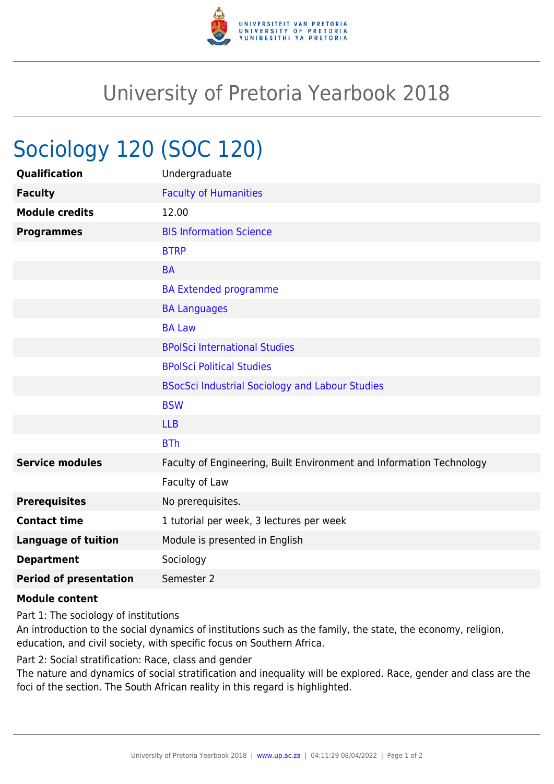

## University of Pretoria Yearbook 2018

## Sociology 120 (SOC 120)

| Undergraduate                                                        |
|----------------------------------------------------------------------|
| <b>Faculty of Humanities</b>                                         |
| 12.00                                                                |
| <b>BIS Information Science</b>                                       |
| <b>BTRP</b>                                                          |
| <b>BA</b>                                                            |
| <b>BA Extended programme</b>                                         |
| <b>BA Languages</b>                                                  |
| <b>BA Law</b>                                                        |
| <b>BPolSci International Studies</b>                                 |
| <b>BPolSci Political Studies</b>                                     |
| <b>BSocSci Industrial Sociology and Labour Studies</b>               |
| <b>BSW</b>                                                           |
| <b>LLB</b>                                                           |
| <b>BTh</b>                                                           |
| Faculty of Engineering, Built Environment and Information Technology |
| Faculty of Law                                                       |
| No prerequisites.                                                    |
| 1 tutorial per week, 3 lectures per week                             |
| Module is presented in English                                       |
| Sociology                                                            |
| Semester 2                                                           |
|                                                                      |

## **Module content**

Part 1: The sociology of institutions

An introduction to the social dynamics of institutions such as the family, the state, the economy, religion, education, and civil society, with specific focus on Southern Africa.

Part 2: Social stratification: Race, class and gender

The nature and dynamics of social stratification and inequality will be explored. Race, gender and class are the foci of the section. The South African reality in this regard is highlighted.